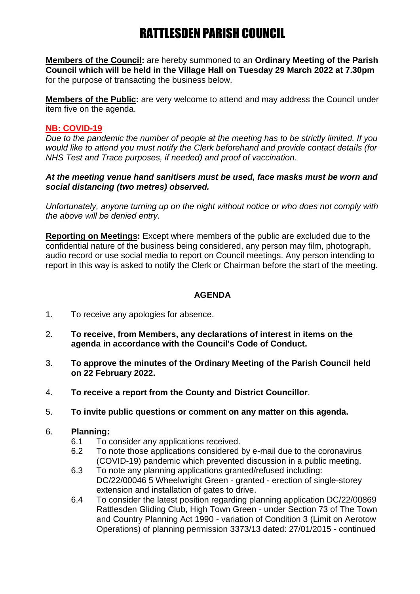# RATTLESDEN PARISH COUNCIL

**Members of the Council:** are hereby summoned to an **Ordinary Meeting of the Parish Council which will be held in the Village Hall on Tuesday 29 March 2022 at 7.30pm** for the purpose of transacting the business below.

**Members of the Public:** are very welcome to attend and may address the Council under item five on the agenda.

## **NB: COVID-19**

*Due to the pandemic the number of people at the meeting has to be strictly limited. If you would like to attend you must notify the Clerk beforehand and provide contact details (for NHS Test and Trace purposes, if needed) and proof of vaccination.*

## *At the meeting venue hand sanitisers must be used, face masks must be worn and social distancing (two metres) observed.*

*Unfortunately, anyone turning up on the night without notice or who does not comply with the above will be denied entry.*

**Reporting on Meetings:** Except where members of the public are excluded due to the confidential nature of the business being considered, any person may film, photograph, audio record or use social media to report on Council meetings. Any person intending to report in this way is asked to notify the Clerk or Chairman before the start of the meeting.

## **AGENDA**

- 1. To receive any apologies for absence.
- 2. **To receive, from Members, any declarations of interest in items on the agenda in accordance with the Council's Code of Conduct.**
- 3. **To approve the minutes of the Ordinary Meeting of the Parish Council held on 22 February 2022.**
- 4. **To receive a report from the County and District Councillor**.
- 5. **To invite public questions or comment on any matter on this agenda.**
- 6. **Planning:**
	- 6.1 To consider any applications received.
	- 6.2 To note those applications considered by e-mail due to the coronavirus (COVID-19) pandemic which prevented discussion in a public meeting.
	- 6.3 To note any planning applications granted/refused including: DC/22/00046 5 Wheelwright Green - granted - erection of single-storey extension and installation of gates to drive.
	- 6.4 To consider the latest position regarding planning application DC/22/00869 Rattlesden Gliding Club, High Town Green - under Section 73 of The Town and Country Planning Act 1990 - variation of Condition 3 (Limit on Aerotow Operations) of planning permission 3373/13 dated: 27/01/2015 - continued